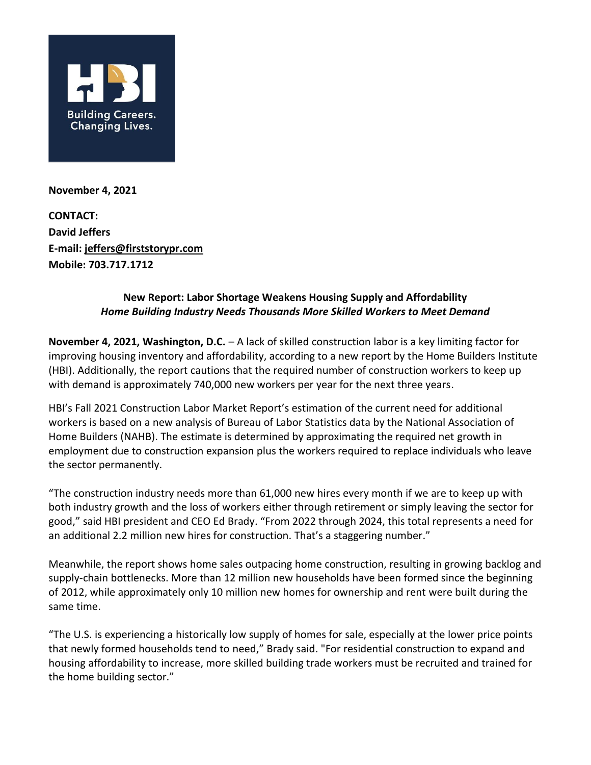

**November 4, 2021**

**CONTACT: David Jeffers E-mail: [jeffers@firststorypr.com](mailto:jeffers@firststorypr.com) Mobile: 703.717.1712**

## **New Report: Labor Shortage Weakens Housing Supply and Affordability** *Home Building Industry Needs Thousands More Skilled Workers to Meet Demand*

**November 4, 2021, Washington, D.C.** – A lack of skilled construction labor is a key limiting factor for improving housing inventory and affordability, according to a new report by the Home Builders Institute (HBI). Additionally, the report cautions that the required number of construction workers to keep up with demand is approximately 740,000 new workers per year for the next three years.

HBI's Fall 2021 Construction Labor Market Report's estimation of the current need for additional workers is based on a new analysis of Bureau of Labor Statistics data by the National Association of Home Builders (NAHB). The estimate is determined by approximating the required net growth in employment due to construction expansion plus the workers required to replace individuals who leave the sector permanently.

"The construction industry needs more than 61,000 new hires every month if we are to keep up with both industry growth and the loss of workers either through retirement or simply leaving the sector for good," said HBI president and CEO Ed Brady. "From 2022 through 2024, this total represents a need for an additional 2.2 million new hires for construction. That's a staggering number."

Meanwhile, the report shows home sales outpacing home construction, resulting in growing backlog and supply-chain bottlenecks. More than 12 million new households have been formed since the beginning of 2012, while approximately only 10 million new homes for ownership and rent were built during the same time.

"The U.S. is experiencing a historically low supply of homes for sale, especially at the lower price points that newly formed households tend to need," Brady said. "For residential construction to expand and housing affordability to increase, more skilled building trade workers must be recruited and trained for the home building sector."